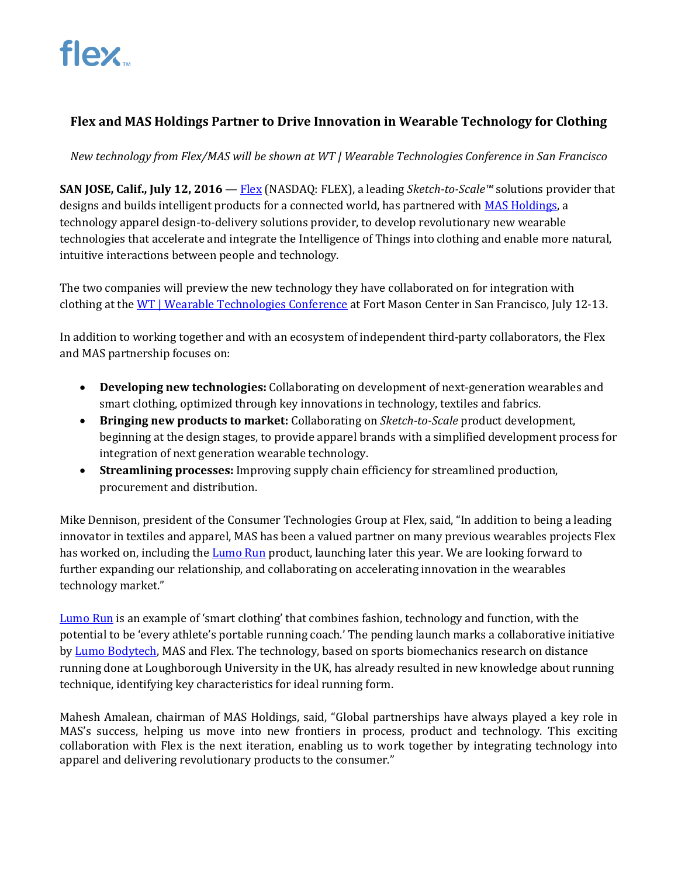

# **Flex and MAS Holdings Partner to Drive Innovation in Wearable Technology for Clothing**

*New technology from Flex/MAS will be shown at WT | Wearable Technologies Conference in San Francisco*

**SAN JOSE, Calif., July 12, 2016** — [Flex](http://www.flextronics.com/) (NASDAQ: FLEX), a leading *Sketch-to-Scale™* solutions provider that designs and builds intelligent products for a connected world, has partnered wit[h MAS Holdings,](http://masholdings.com/) a technology apparel design-to-delivery solutions provider, to develop revolutionary new wearable technologies that accelerate and integrate the Intelligence of Things into clothing and enable more natural, intuitive interactions between people and technology.

The two companies will preview the new technology they have collaborated on for integration with clothing at th[e WT | Wearable Technologies Conference](http://www.wearable-technologies.com/events/wt-wearable-technologies-conference-2016-usa) at Fort Mason Center in San Francisco, July 12-13.

In addition to working together and with an ecosystem of independent third-party collaborators, the Flex and MAS partnership focuses on:

- **Developing new technologies:** Collaborating on development of next-generation wearables and smart clothing, optimized through key innovations in technology, textiles and fabrics.
- **Bringing new products to market:** Collaborating on *Sketch-to-Scale* product development, beginning at the design stages, to provide apparel brands with a simplified development process for integration of next generation wearable technology.
- **Streamlining processes:** Improving supply chain efficiency for streamlined production, procurement and distribution.

Mike Dennison, president of the Consumer Technologies Group at Flex, said, "In addition to being a leading innovator in textiles and apparel, MAS has been a valued partner on many previous wearables projects Flex has worked on, including th[e Lumo Run](http://www.lumobodytech.com/lumo-run) product, launching later this year. We are looking forward to further expanding our relationship, and collaborating on accelerating innovation in the wearables technology market."

[Lumo Run](http://www.lumobodytech.com/lumo-run) is an example of 'smart clothing' that combines fashion, technology and function, with the potential to be 'every athlete's portable running coach.' The pending launch marks a collaborative initiative by [Lumo Bodytech,](http://www.lumobodytech.com/) MAS and Flex. The technology, based on sports biomechanics research on distance running done at Loughborough University in the UK, has already resulted in new knowledge about running technique, identifying key characteristics for ideal running form.

Mahesh Amalean, chairman of MAS Holdings, said, "Global partnerships have always played a key role in MAS's success, helping us move into new frontiers in process, product and technology. This exciting collaboration with Flex is the next iteration, enabling us to work together by integrating technology into apparel and delivering revolutionary products to the consumer."